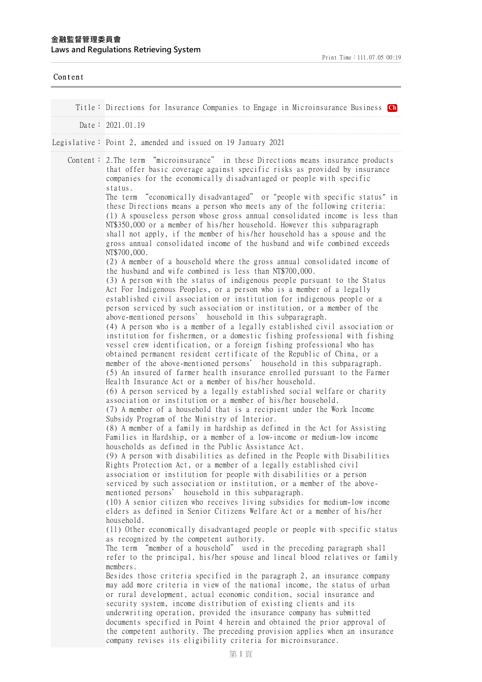| Content |                                                                                                                                                                                                                                                                                                                                                                                                             |
|---------|-------------------------------------------------------------------------------------------------------------------------------------------------------------------------------------------------------------------------------------------------------------------------------------------------------------------------------------------------------------------------------------------------------------|
|         | Title: Directions for Insurance Companies to Engage in Microinsurance Business Ch                                                                                                                                                                                                                                                                                                                           |
|         | Date: 2021.01.19                                                                                                                                                                                                                                                                                                                                                                                            |
|         | Legislative: Point 2, amended and issued on 19 January 2021                                                                                                                                                                                                                                                                                                                                                 |
|         | Content: 2. The term "microinsurance" in these Directions means insurance products<br>that offer basic coverage against specific risks as provided by insurance<br>companies for the economically disadvantaged or people with specific<br>status.<br>The term "economically disadvantaged" or "people with specific status" in                                                                             |
|         | these Directions means a person who meets any of the following criteria:<br>(1) A spouseless person whose gross annual consolidated income is less than<br>NT\$350,000 or a member of his/her household. However this subparagraph<br>shall not apply, if the member of his/her household has a spouse and the<br>gross annual consolidated income of the husband and wife combined exceeds<br>NT\$700,000. |
|         | (2) A member of a household where the gross annual consolidated income of<br>the husband and wife combined is less than NT\$700,000.                                                                                                                                                                                                                                                                        |
|         | (3) A person with the status of indigenous people pursuant to the Status<br>Act For Indigenous Peoples, or a person who is a member of a legally<br>established civil association or institution for indigenous people or a<br>person serviced by such association or institution, or a member of the<br>above-mentioned persons' household in this subparagraph.                                           |
|         | (4) A person who is a member of a legally established civil association or<br>institution for fishermen, or a domestic fishing professional with fishing<br>vessel crew identification, or a foreign fishing professional who has<br>obtained permanent resident certificate of the Republic of China, or a<br>member of the above-mentioned persons' household in this subparagraph.                       |
|         | (5) An insured of farmer health insurance enrolled pursuant to the Farmer<br>Health Insurance Act or a member of his/her household.<br>(6) A person serviced by a legally established social welfare or charity<br>association or institution or a member of his/her household.<br>(7) A member of a household that is a recipient under the Work Income                                                    |
|         | Subsidy Program of the Ministry of Interior.<br>(8) A member of a family in hardship as defined in the Act for Assisting<br>Families in Hardship, or a member of a low-income or medium-low income<br>households as defined in the Public Assistance Act.                                                                                                                                                   |
|         | (9) A person with disabilities as defined in the People with Disabilities<br>Rights Protection Act, or a member of a legally established civil<br>association or institution for people with disabilities or a person<br>serviced by such association or institution, or a member of the above-<br>mentioned persons' household in this subparagraph.                                                       |
|         | (10) A senior citizen who receives living subsidies for medium-low income<br>elders as defined in Senior Citizens Welfare Act or a member of his/her<br>household.                                                                                                                                                                                                                                          |
|         | (11) Other economically disadvantaged people or people with specific status<br>as recognized by the competent authority.<br>The term "member of a household" used in the preceding paragraph shall<br>refer to the principal, his/her spouse and lineal blood relatives or family                                                                                                                           |
|         | members.<br>Besides those criteria specified in the paragraph 2, an insurance company<br>may add more criteria in view of the national income, the status of urban<br>or rural development, actual economic condition, social insurance and                                                                                                                                                                 |
|         | security system, income distribution of existing clients and its<br>underwriting operation, provided the insurance company has submitted<br>documents specified in Point 4 herein and obtained the prior approval of<br>the competent authority. The preceding provision applies when an insurance<br>company revises its eligibility criteria for microinsurance.                                          |